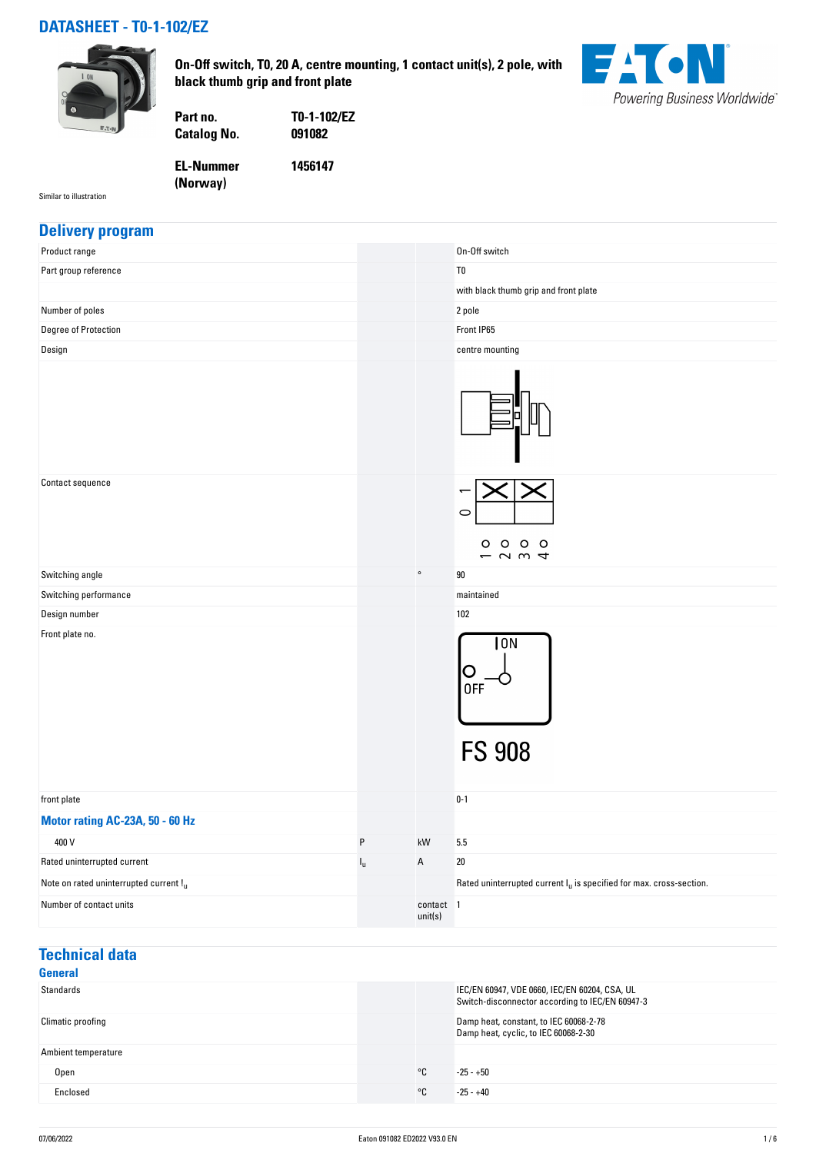### **DATASHEET - T0-1-102/EZ**



**On-Off switch, T0, 20 A, centre mounting, 1 contact unit(s), 2 pole, with black thumb grip and front plate**



Similar to illustration

**EL-Nummer**

**Catalog No.** 

**Part no. T0-1-102/EZ**

**1456147**

**(Norway)** 

#### **Delivery program**

| Product range                             |             |                      | On-Off switch                                                          |
|-------------------------------------------|-------------|----------------------|------------------------------------------------------------------------|
| Part group reference                      |             |                      | T <sub>0</sub>                                                         |
|                                           |             |                      | with black thumb grip and front plate                                  |
| Number of poles                           |             |                      | 2 pole                                                                 |
| Degree of Protection                      |             |                      | Front IP65                                                             |
| Design                                    |             |                      | centre mounting                                                        |
|                                           |             |                      |                                                                        |
| Contact sequence                          |             |                      | ⊂<br>$\circ\,\circ\,\circ\,\circ$<br>$ \sim$ $\sim$ $\sim$             |
| Switching angle                           |             | $\circ$              | 90                                                                     |
| Switching performance                     |             |                      | maintained                                                             |
| Design number                             |             |                      | 102                                                                    |
| Front plate no.                           |             |                      | 10N<br>Ő<br>0FF<br><b>FS 908</b>                                       |
| front plate                               |             |                      | $0 - 1$                                                                |
| Motor rating AC-23A, 50 - 60 Hz           |             |                      |                                                                        |
| 400 V                                     | $\sf P$     | kW                   | $5.5\,$                                                                |
| Rated uninterrupted current               | $I_{\rm u}$ | Α                    | $20\,$                                                                 |
| Note on rated uninterrupted current $!_u$ |             |                      | Rated uninterrupted current $I_u$ is specified for max. cross-section. |
| Number of contact units                   |             | contact 1<br>unit(s) |                                                                        |

## **Technical data**

| General             |                                                                                                  |
|---------------------|--------------------------------------------------------------------------------------------------|
| Standards           | IEC/EN 60947, VDE 0660, IEC/EN 60204, CSA, UL<br>Switch-disconnector according to IEC/EN 60947-3 |
| Climatic proofing   | Damp heat, constant, to IEC 60068-2-78<br>Damp heat, cyclic, to IEC 60068-2-30                   |
| Ambient temperature |                                                                                                  |
| ۰c<br><b>Open</b>   | $-25 - +50$                                                                                      |
| Enclosed<br>°C      | $-25 - +40$                                                                                      |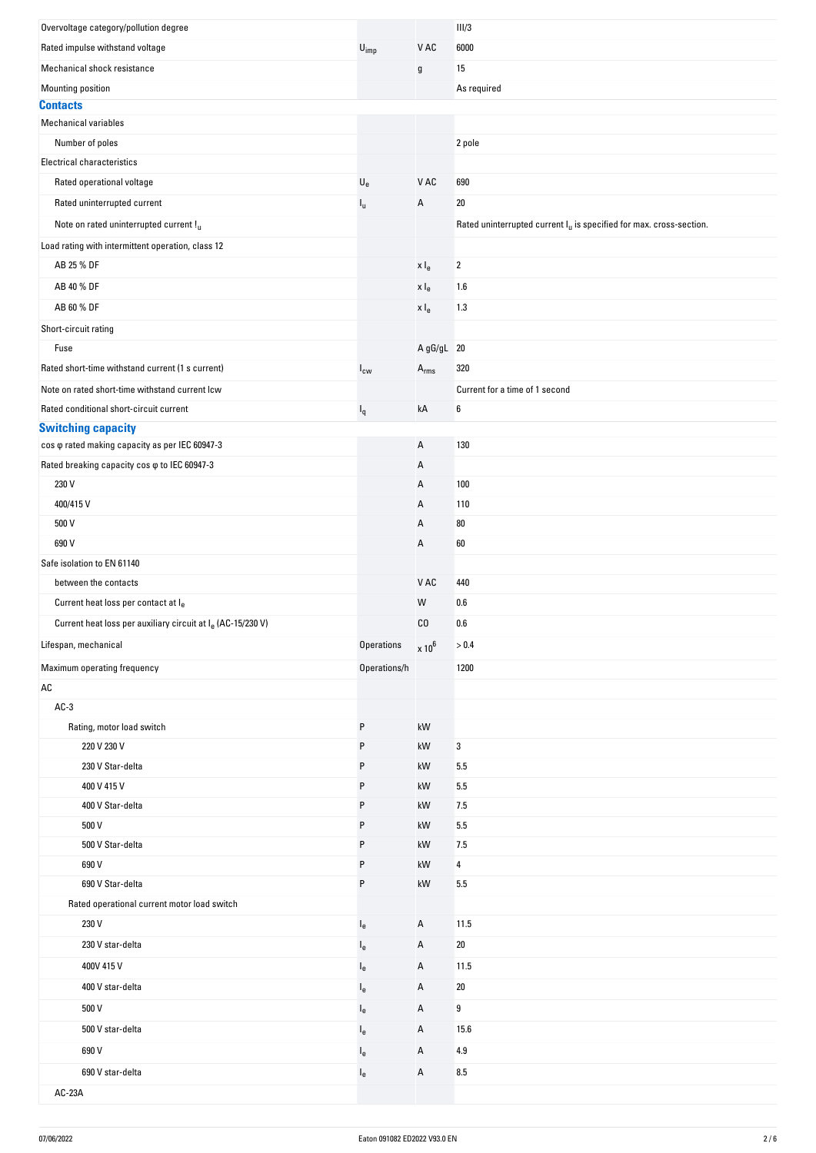| Overvoltage category/pollution degree                                   |                           |                  | III/3                                                                           |
|-------------------------------------------------------------------------|---------------------------|------------------|---------------------------------------------------------------------------------|
| Rated impulse withstand voltage                                         | $U_{imp}$                 | V AC             | 6000                                                                            |
| Mechanical shock resistance                                             |                           | g                | 15                                                                              |
| Mounting position                                                       |                           |                  | As required                                                                     |
| <b>Contacts</b>                                                         |                           |                  |                                                                                 |
| <b>Mechanical variables</b>                                             |                           |                  |                                                                                 |
| Number of poles                                                         |                           |                  | 2 pole                                                                          |
| <b>Electrical characteristics</b>                                       |                           |                  |                                                                                 |
| Rated operational voltage                                               | $\mathsf{U}_{\mathsf{e}}$ | V AC             | 690                                                                             |
| Rated uninterrupted current                                             | $I_{\rm U}$               | А                | 20                                                                              |
| Note on rated uninterrupted current !u                                  |                           |                  | Rated uninterrupted current I <sub>u</sub> is specified for max. cross-section. |
| Load rating with intermittent operation, class 12                       |                           |                  |                                                                                 |
| AB 25 % DF                                                              |                           | x I <sub>e</sub> | $\overline{2}$                                                                  |
| AB 40 % DF                                                              |                           | x I <sub>e</sub> | 1.6                                                                             |
| AB 60 % DF                                                              |                           | $x \mid_e$       | 1.3                                                                             |
| Short-circuit rating                                                    |                           |                  |                                                                                 |
| Fuse                                                                    |                           | A gG/gL 20       |                                                                                 |
| Rated short-time withstand current (1 s current)                        | $I_{\text{cw}}$           | $A_{rms}$        | 320                                                                             |
| Note on rated short-time withstand current lcw                          |                           |                  | Current for a time of 1 second                                                  |
| Rated conditional short-circuit current                                 |                           | kA               | 6                                                                               |
| <b>Switching capacity</b>                                               | $I_q$                     |                  |                                                                                 |
| cos $\varphi$ rated making capacity as per IEC 60947-3                  |                           | А                | 130                                                                             |
| Rated breaking capacity cos $\varphi$ to IEC 60947-3                    |                           | А                |                                                                                 |
| 230 V                                                                   |                           | Α                | 100                                                                             |
| 400/415V                                                                |                           | Α                | 110                                                                             |
| 500 V                                                                   |                           | Α                | 80                                                                              |
| 690 V                                                                   |                           | А                | 60                                                                              |
| Safe isolation to EN 61140                                              |                           |                  |                                                                                 |
| between the contacts                                                    |                           | V AC             | 440                                                                             |
| Current heat loss per contact at le                                     |                           | W                | 0.6                                                                             |
| Current heat loss per auxiliary circuit at I <sub>e</sub> (AC-15/230 V) |                           | CO               | 0.6                                                                             |
| Lifespan, mechanical                                                    | Operations                | $\times 10^6$    | $> 0.4$                                                                         |
|                                                                         |                           |                  |                                                                                 |
| Maximum operating frequency                                             | Operations/h              |                  | 1200                                                                            |
| AC                                                                      |                           |                  |                                                                                 |
| $AC-3$                                                                  |                           |                  |                                                                                 |
| Rating, motor load switch                                               | P                         | kW               |                                                                                 |
| 220 V 230 V                                                             | P                         | kW               | 3                                                                               |
| 230 V Star-delta                                                        | P                         | kW               | 5.5                                                                             |
| 400 V 415 V                                                             | P                         | kW               | 5.5                                                                             |
| 400 V Star-delta                                                        | P                         | kW               | 7.5                                                                             |
| 500 V                                                                   | P                         | kW               | 5.5                                                                             |
| 500 V Star-delta                                                        | P                         | kW               | 7.5                                                                             |
| 690 V                                                                   | P                         | kW               | 4                                                                               |
| 690 V Star-delta                                                        | P                         | kW               | 5.5                                                                             |
| Rated operational current motor load switch                             |                           |                  |                                                                                 |
| 230 V                                                                   | $I_e$                     | А                | 11.5                                                                            |
| 230 V star-delta                                                        | $I_{e}$                   | А                | 20                                                                              |
| 400V 415 V                                                              | $I_{e}$                   | А                | 11.5                                                                            |
| 400 V star-delta                                                        | $I_{e}$                   | А                | 20                                                                              |
| 500 V                                                                   | $I_{e}$                   | А                | 9                                                                               |
| 500 V star-delta                                                        | $I_{e}$                   | А                | 15.6                                                                            |
| 690 V                                                                   | $I_e$                     | А                | 4.9                                                                             |
| 690 V star-delta                                                        | $I_{e}$                   | А                | 8.5                                                                             |
| AC-23A                                                                  |                           |                  |                                                                                 |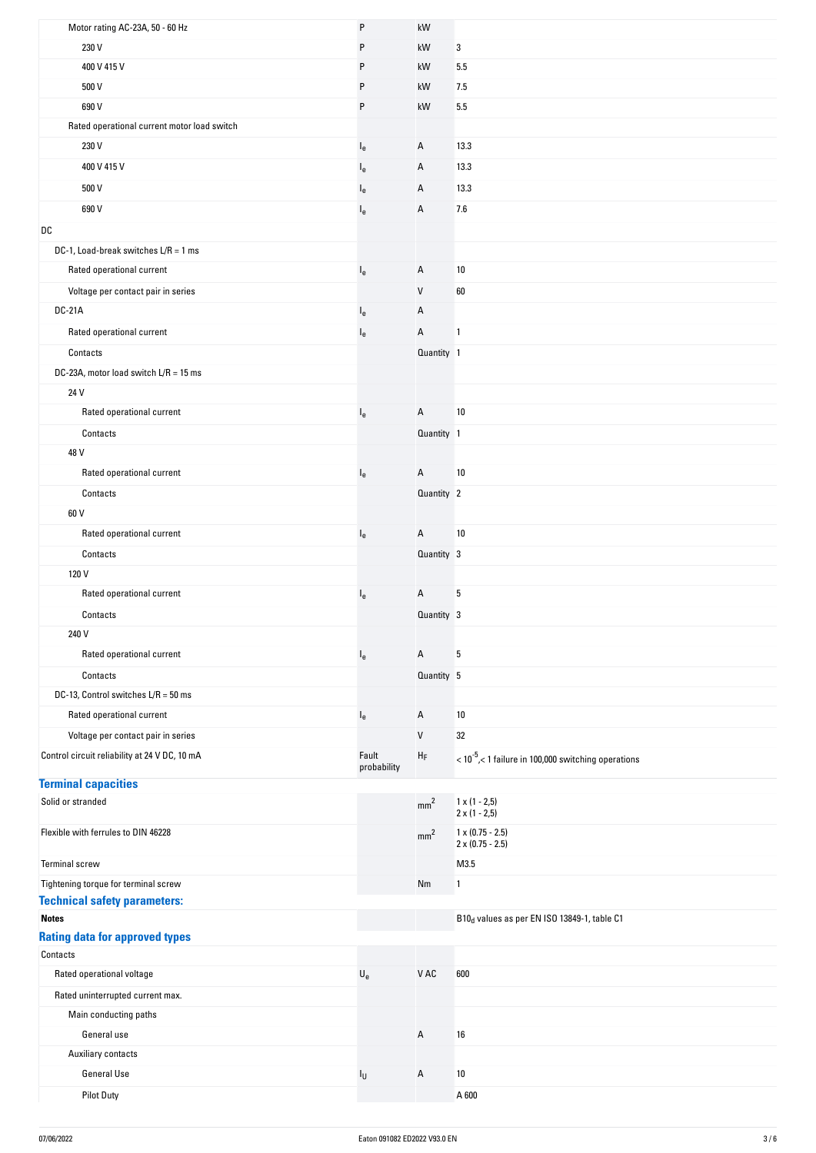| Motor rating AC-23A, 50 - 60 Hz                   | P                         | $\mathsf{k}\mathsf{W}$ |                                                                      |
|---------------------------------------------------|---------------------------|------------------------|----------------------------------------------------------------------|
| 230 V                                             | P                         | kW                     | 3                                                                    |
| 400 V 415 V                                       | P                         | kW                     | 5.5                                                                  |
| 500 V                                             | P                         | kW                     | 7.5                                                                  |
| 690 V                                             | P                         | kW                     | 5.5                                                                  |
| Rated operational current motor load switch       |                           |                        |                                                                      |
| 230 V                                             | $I_{e}$                   | A                      | 13.3                                                                 |
| 400 V 415 V                                       | $I_{e}$                   | Α                      | 13.3                                                                 |
| 500 V                                             | l <sub>e</sub>            | A                      | 13.3                                                                 |
| 690 V                                             | $I_e$                     | A                      | 7.6                                                                  |
| DC                                                |                           |                        |                                                                      |
| DC-1, Load-break switches $L/R = 1$ ms            |                           |                        |                                                                      |
| Rated operational current                         |                           | Α                      | 10                                                                   |
|                                                   | l <sub>e</sub>            | $\mathsf{V}$           | 60                                                                   |
| Voltage per contact pair in series                |                           |                        |                                                                      |
| <b>DC-21A</b>                                     | $I_{e}$                   | Α                      |                                                                      |
| Rated operational current                         | $I_{e}$                   | A                      | $\mathbf{1}$                                                         |
| Contacts                                          |                           | Quantity 1             |                                                                      |
| DC-23A, motor load switch L/R = 15 ms             |                           |                        |                                                                      |
| 24 V                                              |                           |                        |                                                                      |
| Rated operational current                         | $I_{e}$                   | A                      | 10                                                                   |
| Contacts                                          |                           | Quantity 1             |                                                                      |
| 48 V                                              |                           |                        |                                                                      |
| Rated operational current                         | $I_{e}$                   | A                      | 10                                                                   |
| Contacts                                          |                           | Quantity 2             |                                                                      |
| 60 V                                              |                           |                        |                                                                      |
| Rated operational current                         | $I_{e}$                   | A                      | 10                                                                   |
| Contacts                                          |                           | Quantity 3             |                                                                      |
| 120 V                                             |                           |                        |                                                                      |
| Rated operational current                         | $I_e$                     | A                      | 5                                                                    |
| Contacts                                          |                           | Quantity 3             |                                                                      |
| 240 V                                             |                           |                        |                                                                      |
| Rated operational current                         | $I_{e}$                   | Α                      | 5                                                                    |
| Contacts                                          |                           | Quantity 5             |                                                                      |
| DC-13, Control switches L/R = 50 ms               |                           |                        |                                                                      |
| Rated operational current                         | $I_{e}$                   | A                      | 10                                                                   |
| Voltage per contact pair in series                |                           | V                      | 32                                                                   |
| Control circuit reliability at 24 V DC, 10 mA     | Fault                     | ${\sf H}_{\sf F}$      | $<$ 10 <sup>-5</sup> , $<$ 1 failure in 100,000 switching operations |
| <b>Terminal capacities</b>                        | probability               |                        |                                                                      |
| Solid or stranded                                 |                           | mm <sup>2</sup>        | $1 \times (1 - 2.5)$                                                 |
|                                                   |                           |                        | $2 \times (1 - 2.5)$                                                 |
| Flexible with ferrules to DIN 46228               |                           | mm <sup>2</sup>        | $1 \times (0.75 - 2.5)$<br>$2 \times (0.75 - 2.5)$                   |
| <b>Terminal screw</b>                             |                           |                        | M3.5                                                                 |
| Tightening torque for terminal screw              |                           | Nm                     | $\mathbf{1}$                                                         |
| <b>Technical safety parameters:</b>               |                           |                        |                                                                      |
| <b>Notes</b>                                      |                           |                        | B10 <sub>d</sub> values as per EN ISO 13849-1, table C1              |
| <b>Rating data for approved types</b><br>Contacts |                           |                        |                                                                      |
| Rated operational voltage                         | $\mathsf{U}_{\mathsf{e}}$ | ${\tt V}$ AC           | 600                                                                  |
| Rated uninterrupted current max.                  |                           |                        |                                                                      |
| Main conducting paths                             |                           |                        |                                                                      |
| General use                                       |                           | А                      | 16                                                                   |
| <b>Auxiliary contacts</b>                         |                           |                        |                                                                      |
| <b>General Use</b>                                | $I_{\mathsf{U}}$          | Α                      | 10                                                                   |
| Pilot Duty                                        |                           |                        | A 600                                                                |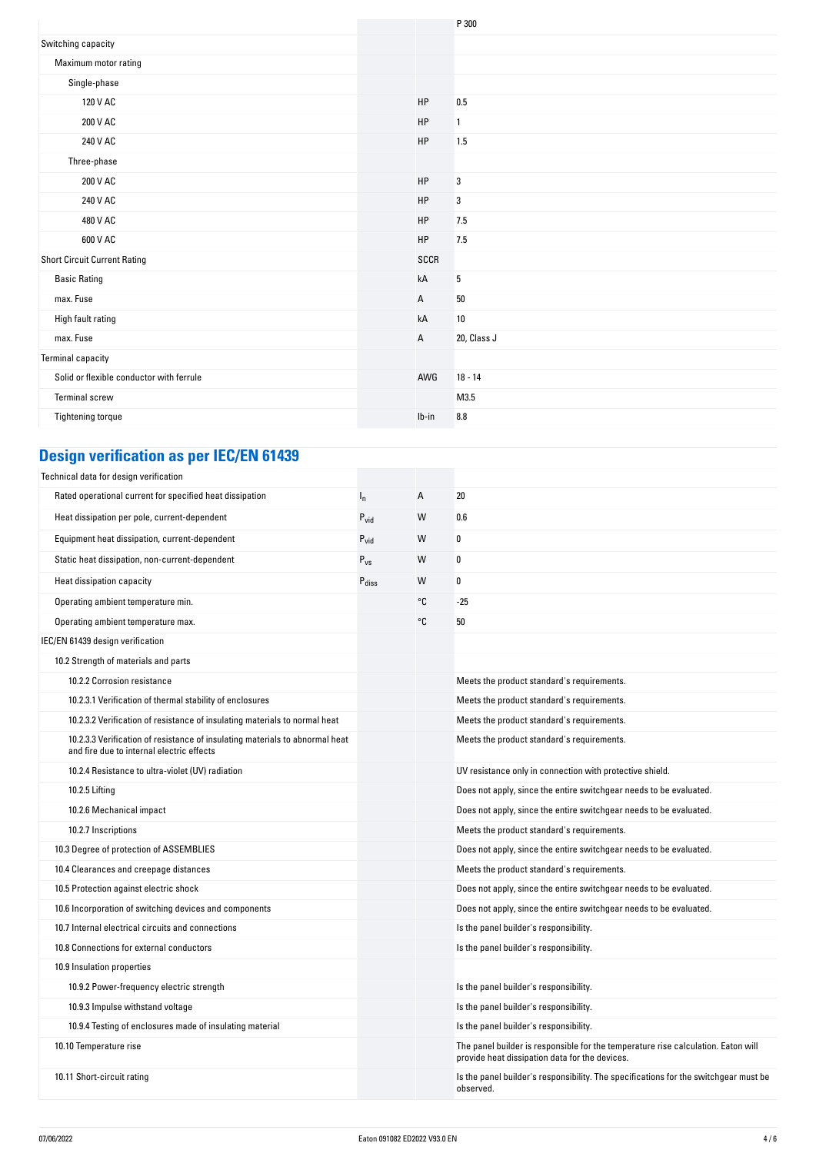|                                          |              | P 300       |
|------------------------------------------|--------------|-------------|
| Switching capacity                       |              |             |
| Maximum motor rating                     |              |             |
| Single-phase                             |              |             |
| 120 V AC                                 | HP           | 0.5         |
| 200 V AC                                 | HP           | 1           |
| 240 V AC                                 | HP           | 1.5         |
| Three-phase                              |              |             |
| 200 V AC                                 | HP           | 3           |
| 240 V AC                                 | HP           | 3           |
| 480 V AC                                 | HP           | 7.5         |
| 600 V AC                                 | HP           | 7.5         |
| <b>Short Circuit Current Rating</b>      | SCCR         |             |
| <b>Basic Rating</b>                      | kA           | 5           |
| max. Fuse                                | $\mathsf{A}$ | $50\,$      |
| High fault rating                        | kA           | $10\,$      |
| max. Fuse                                | $\mathsf{A}$ | 20, Class J |
| <b>Terminal capacity</b>                 |              |             |
| Solid or flexible conductor with ferrule | AWG          | $18 - 14$   |
| <b>Terminal screw</b>                    |              | M3.5        |
| Tightening torque                        | $Ib-in$      | $\bf 8.8$   |
|                                          |              |             |

# **Design verification as per IEC/EN 61439**

| Technical data for design verification                                                                                    |                   |    |                                                                                                                                     |
|---------------------------------------------------------------------------------------------------------------------------|-------------------|----|-------------------------------------------------------------------------------------------------------------------------------------|
| Rated operational current for specified heat dissipation                                                                  | $I_{n}$           | А  | 20                                                                                                                                  |
| Heat dissipation per pole, current-dependent                                                                              | $P_{\text{vid}}$  | W  | 0.6                                                                                                                                 |
| Equipment heat dissipation, current-dependent                                                                             | $P_{\text{vid}}$  | W  | 0                                                                                                                                   |
| Static heat dissipation, non-current-dependent                                                                            | $P_{VS}$          | W  | 0                                                                                                                                   |
| Heat dissipation capacity                                                                                                 | $P_{\text{diss}}$ | W  | 0                                                                                                                                   |
| Operating ambient temperature min.                                                                                        |                   | °C | $-25$                                                                                                                               |
| Operating ambient temperature max.                                                                                        |                   | °C | 50                                                                                                                                  |
| IEC/EN 61439 design verification                                                                                          |                   |    |                                                                                                                                     |
| 10.2 Strength of materials and parts                                                                                      |                   |    |                                                                                                                                     |
| 10.2.2 Corrosion resistance                                                                                               |                   |    | Meets the product standard's requirements.                                                                                          |
| 10.2.3.1 Verification of thermal stability of enclosures                                                                  |                   |    | Meets the product standard's requirements.                                                                                          |
| 10.2.3.2 Verification of resistance of insulating materials to normal heat                                                |                   |    | Meets the product standard's requirements.                                                                                          |
| 10.2.3.3 Verification of resistance of insulating materials to abnormal heat<br>and fire due to internal electric effects |                   |    | Meets the product standard's requirements.                                                                                          |
| 10.2.4 Resistance to ultra-violet (UV) radiation                                                                          |                   |    | UV resistance only in connection with protective shield.                                                                            |
| 10.2.5 Lifting                                                                                                            |                   |    | Does not apply, since the entire switchgear needs to be evaluated.                                                                  |
| 10.2.6 Mechanical impact                                                                                                  |                   |    | Does not apply, since the entire switchgear needs to be evaluated.                                                                  |
| 10.2.7 Inscriptions                                                                                                       |                   |    | Meets the product standard's requirements.                                                                                          |
| 10.3 Degree of protection of ASSEMBLIES                                                                                   |                   |    | Does not apply, since the entire switchgear needs to be evaluated.                                                                  |
| 10.4 Clearances and creepage distances                                                                                    |                   |    | Meets the product standard's requirements.                                                                                          |
| 10.5 Protection against electric shock                                                                                    |                   |    | Does not apply, since the entire switchgear needs to be evaluated.                                                                  |
| 10.6 Incorporation of switching devices and components                                                                    |                   |    | Does not apply, since the entire switchgear needs to be evaluated.                                                                  |
| 10.7 Internal electrical circuits and connections                                                                         |                   |    | Is the panel builder's responsibility.                                                                                              |
| 10.8 Connections for external conductors                                                                                  |                   |    | Is the panel builder's responsibility.                                                                                              |
| 10.9 Insulation properties                                                                                                |                   |    |                                                                                                                                     |
| 10.9.2 Power-frequency electric strength                                                                                  |                   |    | Is the panel builder's responsibility.                                                                                              |
| 10.9.3 Impulse withstand voltage                                                                                          |                   |    | Is the panel builder's responsibility.                                                                                              |
| 10.9.4 Testing of enclosures made of insulating material                                                                  |                   |    | Is the panel builder's responsibility.                                                                                              |
| 10.10 Temperature rise                                                                                                    |                   |    | The panel builder is responsible for the temperature rise calculation. Eaton will<br>provide heat dissipation data for the devices. |
| 10.11 Short-circuit rating                                                                                                |                   |    | Is the panel builder's responsibility. The specifications for the switchgear must be<br>observed.                                   |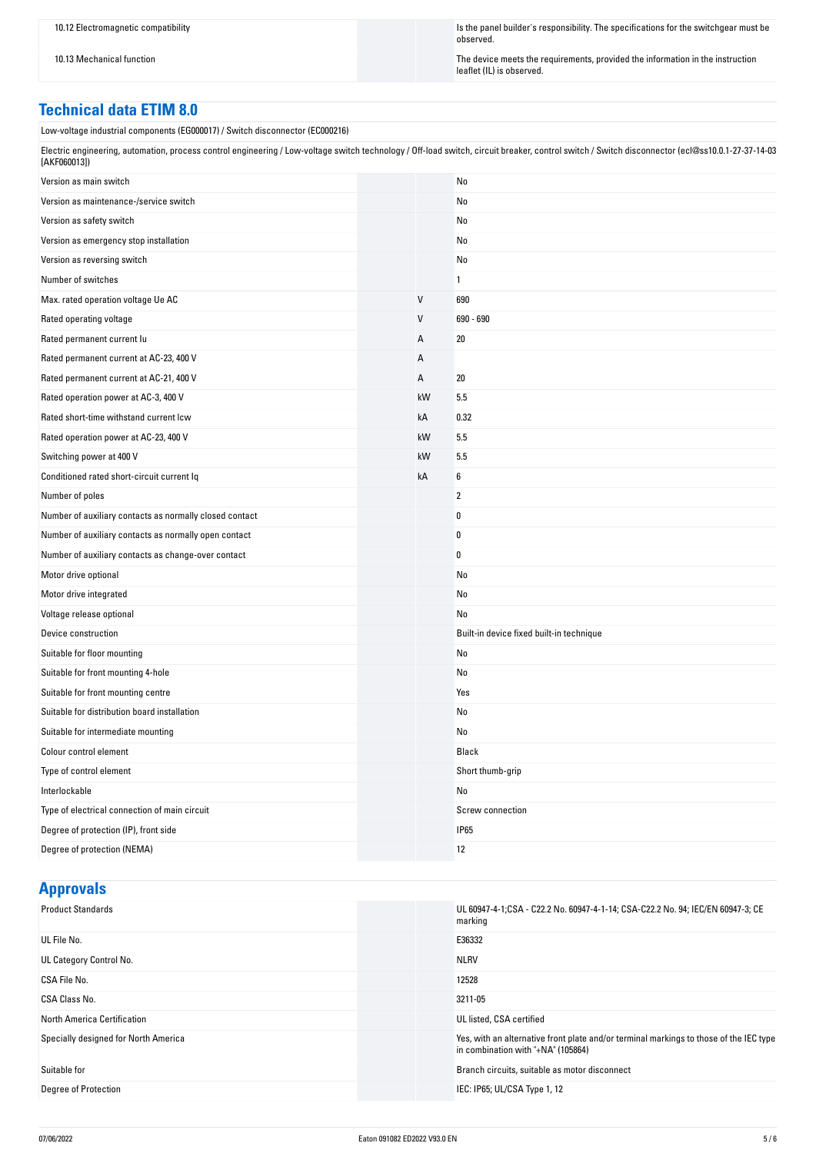10.12 Electromagnetic compatibility Is the panel builder's responsibility. The specifications for the switchgear must be observed.

10.13 Mechanical function in the instruction  $\blacksquare$ leaflet (IL) is observed.

#### **Technical data ETIM 8.0**

Low-voltage industrial components (EG000017) / Switch disconnector (EC000216)

| Electric engineering, automation, process control engineering / Low-voltage switch technology / Off-load switch, circuit breaker, control switch / Switch disconnector (ecl@ss10.0.1-27-37-14-03 |  |
|--------------------------------------------------------------------------------------------------------------------------------------------------------------------------------------------------|--|
| [AKF060013])                                                                                                                                                                                     |  |

| Version as main switch                                  |    | No                                       |
|---------------------------------------------------------|----|------------------------------------------|
| Version as maintenance-/service switch                  |    | No                                       |
| Version as safety switch                                |    | No                                       |
| Version as emergency stop installation                  |    | No                                       |
| Version as reversing switch                             |    | No                                       |
| Number of switches                                      |    | 1                                        |
| Max. rated operation voltage Ue AC                      | V  | 690                                      |
| Rated operating voltage                                 | V  | 690 - 690                                |
| Rated permanent current lu                              | Α  | 20                                       |
| Rated permanent current at AC-23, 400 V                 | А  |                                          |
| Rated permanent current at AC-21, 400 V                 | А  | 20                                       |
| Rated operation power at AC-3, 400 V                    | kW | 5.5                                      |
| Rated short-time withstand current lcw                  | kA | 0.32                                     |
| Rated operation power at AC-23, 400 V                   | kW | 5.5                                      |
| Switching power at 400 V                                | kW | 5.5                                      |
| Conditioned rated short-circuit current Iq              | kA | 6                                        |
| Number of poles                                         |    | $\overline{2}$                           |
| Number of auxiliary contacts as normally closed contact |    | 0                                        |
| Number of auxiliary contacts as normally open contact   |    | 0                                        |
| Number of auxiliary contacts as change-over contact     |    | $\pmb{0}$                                |
| Motor drive optional                                    |    | No                                       |
| Motor drive integrated                                  |    | No                                       |
| Voltage release optional                                |    | No                                       |
| Device construction                                     |    | Built-in device fixed built-in technique |
| Suitable for floor mounting                             |    | No                                       |
| Suitable for front mounting 4-hole                      |    | No                                       |
| Suitable for front mounting centre                      |    | Yes                                      |
| Suitable for distribution board installation            |    | No                                       |
| Suitable for intermediate mounting                      |    | No                                       |
| Colour control element                                  |    | Black                                    |
| Type of control element                                 |    | Short thumb-grip                         |
| Interlockable                                           |    | No                                       |
| Type of electrical connection of main circuit           |    | Screw connection                         |
| Degree of protection (IP), front side                   |    | <b>IP65</b>                              |
| Degree of protection (NEMA)                             |    | 12                                       |

## **Approvals**

| <b>Product Standards</b>             | UL 60947-4-1;CSA - C22.2 No. 60947-4-1-14; CSA-C22.2 No. 94; IEC/EN 60947-3; CE<br>marking                                   |
|--------------------------------------|------------------------------------------------------------------------------------------------------------------------------|
| UL File No.                          | E36332                                                                                                                       |
| UL Category Control No.              | <b>NLRV</b>                                                                                                                  |
| CSA File No.                         | 12528                                                                                                                        |
| CSA Class No.                        | 3211-05                                                                                                                      |
| North America Certification          | UL listed, CSA certified                                                                                                     |
| Specially designed for North America | Yes, with an alternative front plate and/or terminal markings to those of the IEC type<br>in combination with "+NA" (105864) |
| Suitable for                         | Branch circuits, suitable as motor disconnect                                                                                |
| Degree of Protection                 | IEC: IP65; UL/CSA Type 1, 12                                                                                                 |